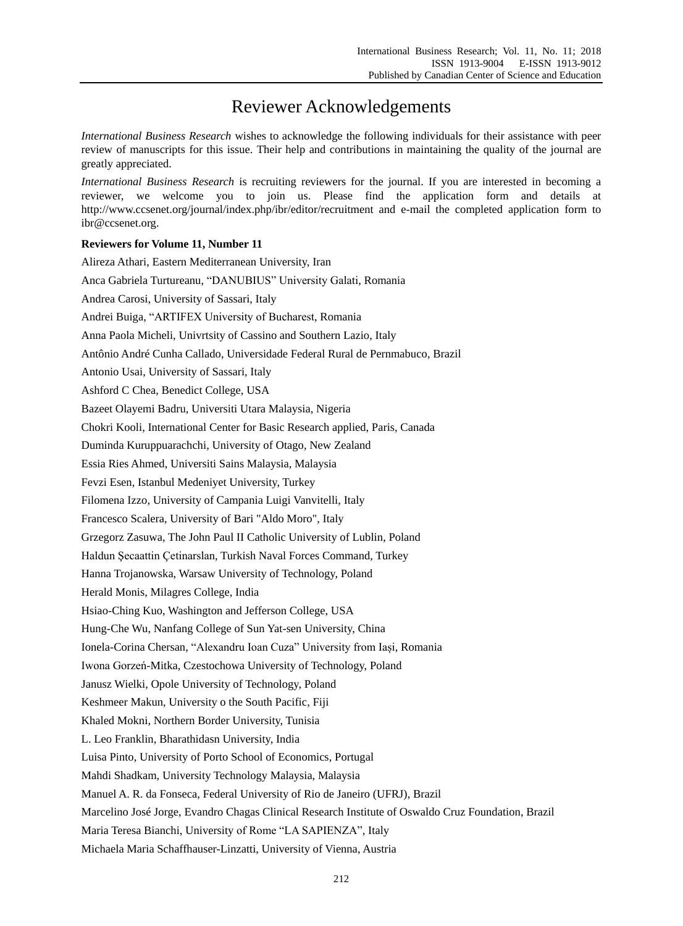## Reviewer Acknowledgements

*International Business Research* wishes to acknowledge the following individuals for their assistance with peer review of manuscripts for this issue. Their help and contributions in maintaining the quality of the journal are greatly appreciated.

*International Business Research* is recruiting reviewers for the journal. If you are interested in becoming a reviewer, we welcome you to join us. Please find the application form and details at http://www.ccsenet.org/journal/index.php/ibr/editor/recruitment and e-mail the completed application form to ibr@ccsenet.org.

## **Reviewers for Volume 11, Number 11**

Alireza Athari, Eastern Mediterranean University, Iran Anca Gabriela Turtureanu, "DANUBIUS" University Galati, Romania Andrea Carosi, University of Sassari, Italy Andrei Buiga, "ARTIFEX University of Bucharest, Romania Anna Paola Micheli, Univrtsity of Cassino and Southern Lazio, Italy Antônio André Cunha Callado, Universidade Federal Rural de Pernmabuco, Brazil Antonio Usai, University of Sassari, Italy Ashford C Chea, Benedict College, USA Bazeet Olayemi Badru, Universiti Utara Malaysia, Nigeria Chokri Kooli, International Center for Basic Research applied, Paris, Canada Duminda Kuruppuarachchi, University of Otago, New Zealand Essia Ries Ahmed, Universiti Sains Malaysia, Malaysia Fevzi Esen, Istanbul Medeniyet University, Turkey Filomena Izzo, University of Campania Luigi Vanvitelli, Italy Francesco Scalera, University of Bari "Aldo Moro", Italy Grzegorz Zasuwa, The John Paul II Catholic University of Lublin, Poland Haldun Şecaattin Çetinarslan, Turkish Naval Forces Command, Turkey Hanna Trojanowska, Warsaw University of Technology, Poland Herald Monis, Milagres College, India Hsiao-Ching Kuo, Washington and Jefferson College, USA Hung-Che Wu, Nanfang College of Sun Yat-sen University, China Ionela-Corina Chersan, "Alexandru Ioan Cuza" University from Iași, Romania Iwona Gorzeń-Mitka, Czestochowa University of Technology, Poland Janusz Wielki, Opole University of Technology, Poland Keshmeer Makun, University o the South Pacific, Fiji Khaled Mokni, Northern Border University, Tunisia L. Leo Franklin, Bharathidasn University, India Luisa Pinto, University of Porto School of Economics, Portugal Mahdi Shadkam, University Technology Malaysia, Malaysia Manuel A. R. da Fonseca, Federal University of Rio de Janeiro (UFRJ), Brazil Marcelino José Jorge, Evandro Chagas Clinical Research Institute of Oswaldo Cruz Foundation, Brazil Maria Teresa Bianchi, University of Rome "LA SAPIENZA", Italy Michaela Maria Schaffhauser-Linzatti, University of Vienna, Austria